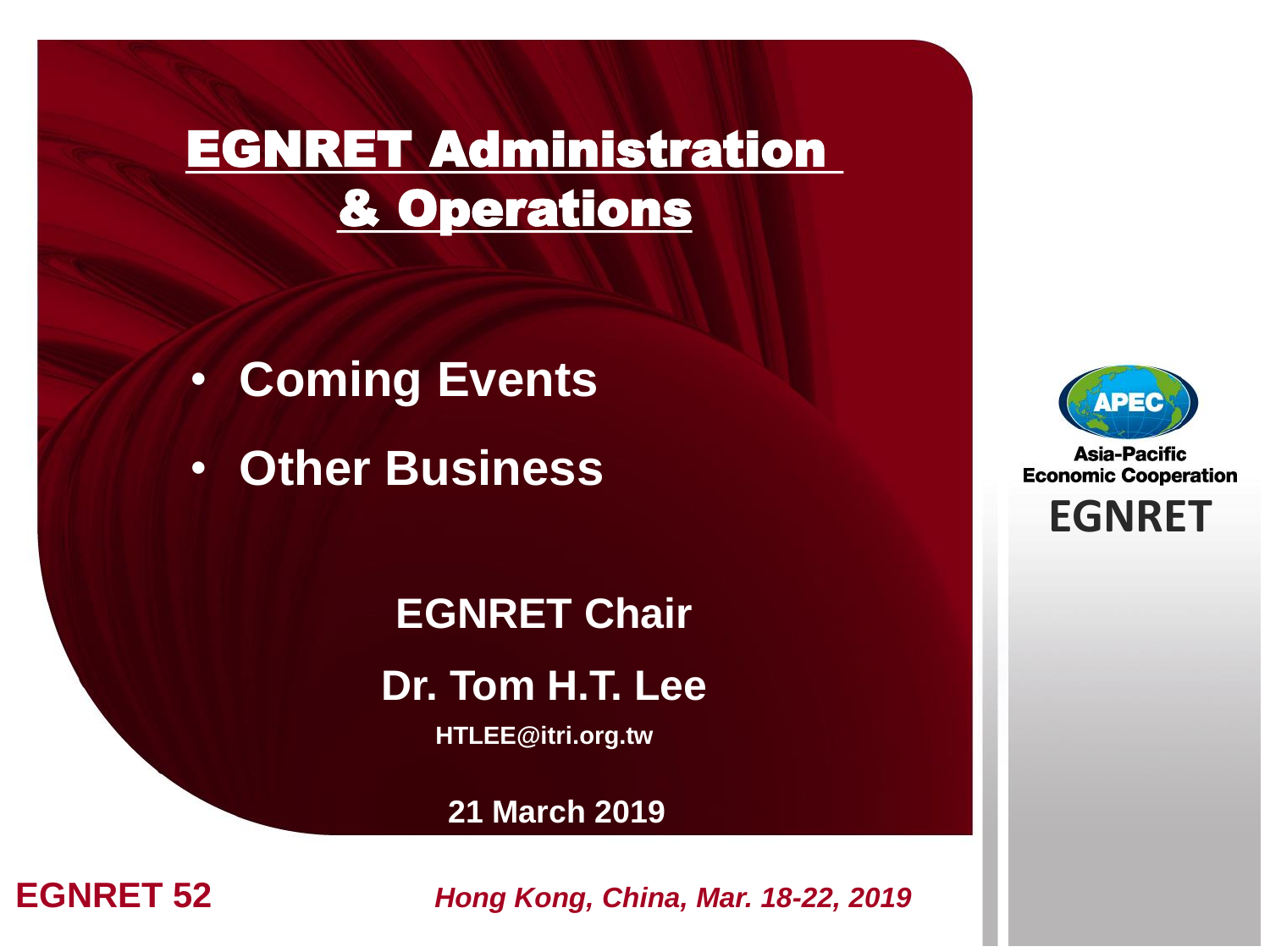## EGNRET Administration & Operations

- **Coming Events**
- **Other Business**

**EGNRET Chair Dr. Tom H.T. Lee HTLEE@itri.org.tw**

**21 March 2019**



**Asia-Pacific Economic Cooperation** 

**EGNRET EGNRET**

**EGNRET 52 Hong Kong, China, Mar. 18-22, 2019**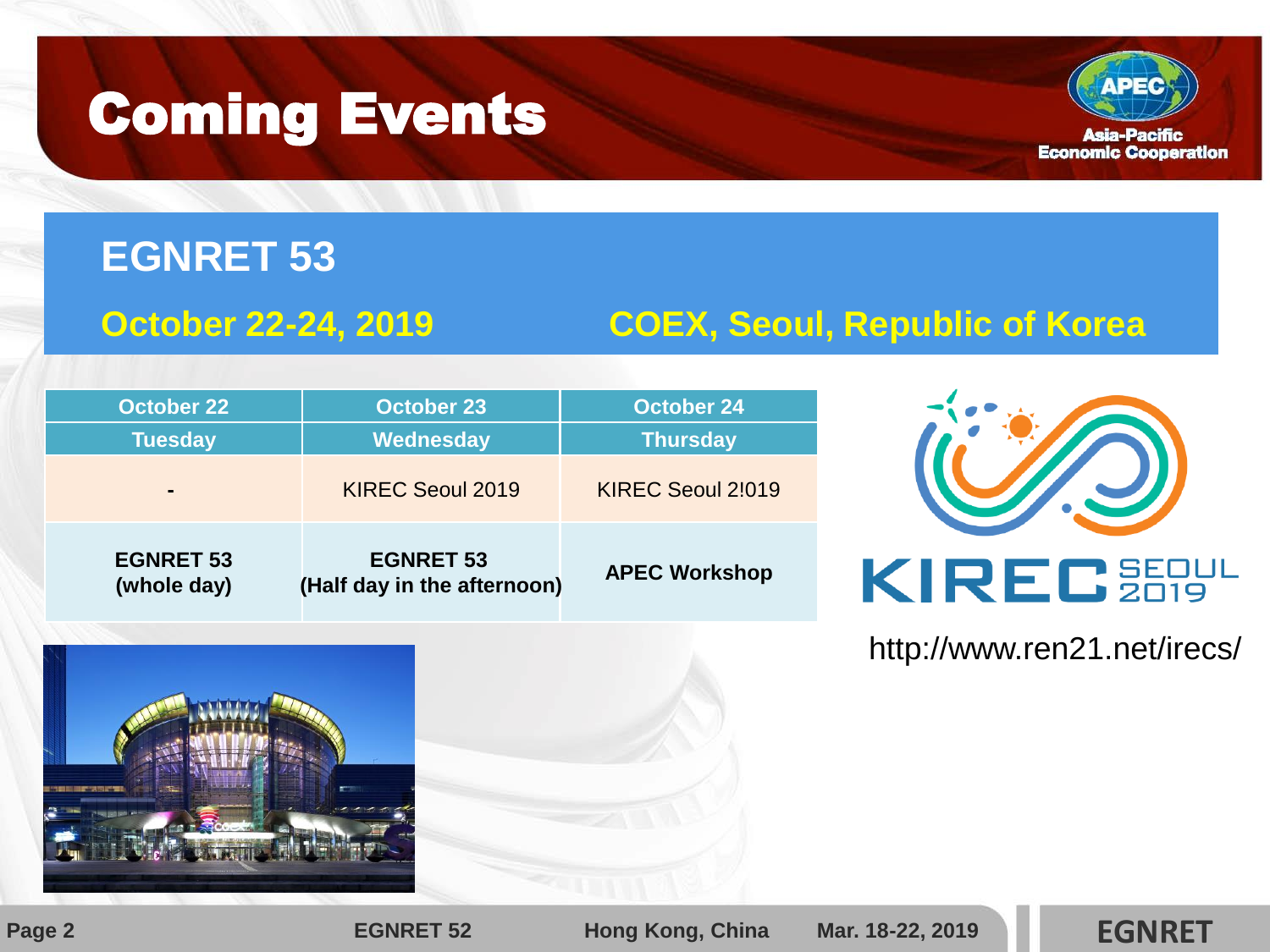## Coming Events



### **EGNRET 53**

### **October 22-24, 2019 COEX, Seoul, Republic of Korea**

| <b>October 22</b>               | <b>October 23</b>                               | <b>October 24</b>    |
|---------------------------------|-------------------------------------------------|----------------------|
| <b>Tuesday</b>                  | Wednesday                                       | <b>Thursday</b>      |
|                                 | <b>KIREC Seoul 2019</b>                         | KIREC Seoul 2!019    |
| <b>EGNRET 53</b><br>(whole day) | <b>EGNRET 53</b><br>(Half day in the afternoon) | <b>APEC Workshop</b> |



### http://www.ren21.net/irecs/



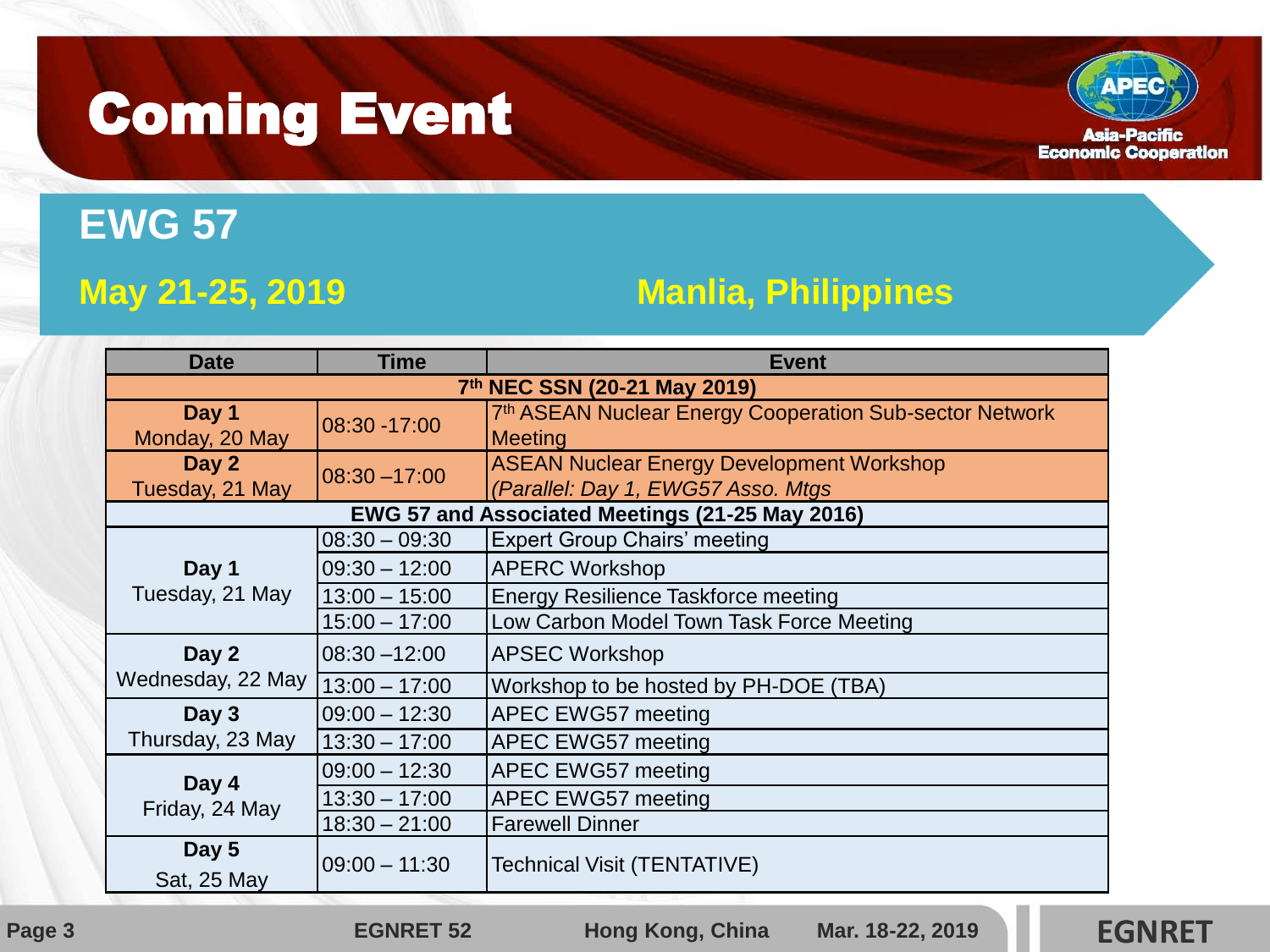## Coming Event



### **EWG 57**

### **May 21-25, 2019 Manlia, Philippines**

| <b>Date</b>                                     | <b>Time</b>       | <b>Event</b>                                                        |  |  |
|-------------------------------------------------|-------------------|---------------------------------------------------------------------|--|--|
| 7th NEC SSN (20-21 May 2019)                    |                   |                                                                     |  |  |
| Day 1                                           | 08:30 -17:00      | 7 <sup>th</sup> ASEAN Nuclear Energy Cooperation Sub-sector Network |  |  |
| Monday, 20 May                                  |                   | <b>Meeting</b>                                                      |  |  |
| Day 2                                           | $08:30 - 17:00$   | <b>ASEAN Nuclear Energy Development Workshop</b>                    |  |  |
| Tuesday, 21 May                                 |                   | (Parallel: Day 1, EWG57 Asso. Mtgs                                  |  |  |
| EWG 57 and Associated Meetings (21-25 May 2016) |                   |                                                                     |  |  |
| Day 1<br>Tuesday, 21 May                        | $08:30 - 09:30$   | <b>Expert Group Chairs' meeting</b>                                 |  |  |
|                                                 | $ 09:30 - 12:00 $ | <b>APERC Workshop</b>                                               |  |  |
|                                                 | $13:00 - 15:00$   | Energy Resilience Taskforce meeting                                 |  |  |
|                                                 | $15:00 - 17:00$   | Low Carbon Model Town Task Force Meeting                            |  |  |
| Day 2                                           | 08:30-12:00       | <b>APSEC Workshop</b>                                               |  |  |
| Wednesday, 22 May 13:00 - 17:00                 |                   | Workshop to be hosted by PH-DOE (TBA)                               |  |  |
| Day 3                                           | $09:00 - 12:30$   | APEC EWG57 meeting                                                  |  |  |
| Thursday, 23 May                                | $13:30 - 17:00$   | APEC EWG57 meeting                                                  |  |  |
| Day 4<br>Friday, 24 May                         | $09:00 - 12:30$   | APEC EWG57 meeting                                                  |  |  |
|                                                 | $13:30 - 17:00$   | <b>APEC EWG57 meeting</b>                                           |  |  |
|                                                 | $18:30 - 21:00$   | <b>Farewell Dinner</b>                                              |  |  |
| Day 5<br>$ 09:00 - 11:30$                       |                   | Technical Visit (TENTATIVE)                                         |  |  |
| Sat, 25 May                                     |                   |                                                                     |  |  |

**Page 3 EGNRET 52 Hong Kong, China** Mar. 18-22, 2019 **EGNRET**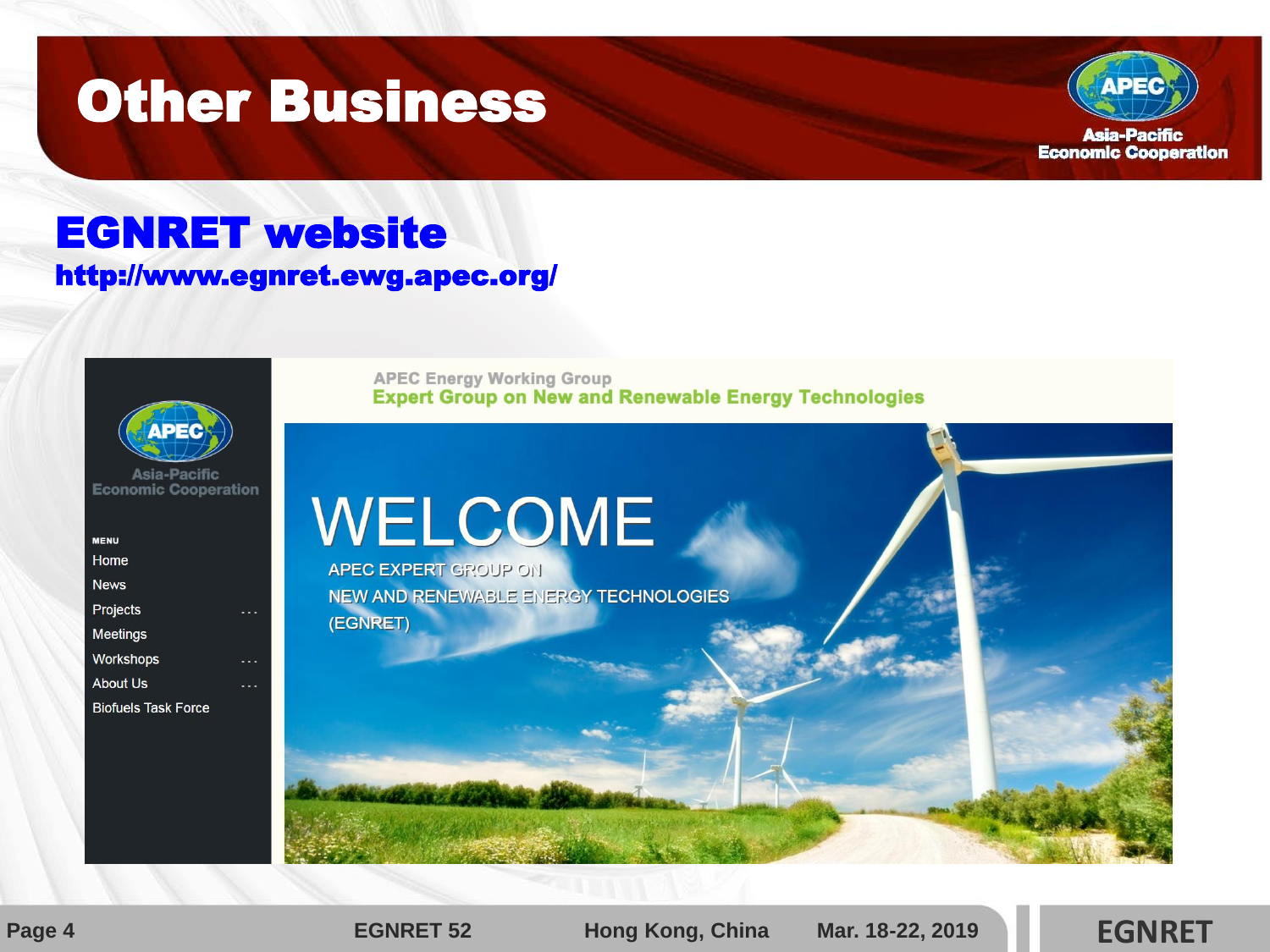## **Other Business**



### EGNRET website http://www.egnret.ewg.apec.org/



Asia-Pacific **Economic Cooperation** 

| <b>MENU</b>                |  |
|----------------------------|--|
| Home                       |  |
| <b>News</b>                |  |
| Projects                   |  |
| <b>Meetings</b>            |  |
| Workshops                  |  |
| <b>About Us</b>            |  |
| <b>Biofuels Task Force</b> |  |
|                            |  |

**APEC Energy Working Group Expert Group on New and Renewable Energy Technologies** 

## WELCOME

**APEC EXPERT GROUP ON** NEW AND RENEWABLE ENERGY TECHNOLOGIES (EGNRET)



**Page 4 EGNRET 52 Hong Kong, China Mar. 18-22, 2019 EGNRET**